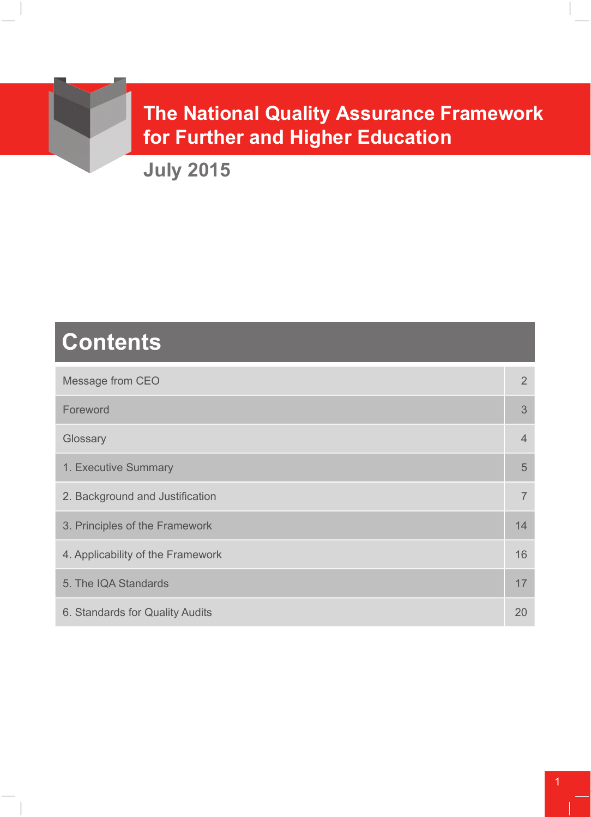# **The National Quality Assurance Framework for Further and Higher Education**

**July 2015**

# **Contents**

| Message from CEO                  | $\overline{2}$ |
|-----------------------------------|----------------|
| Foreword                          | 3              |
| Glossary                          | $\overline{4}$ |
| 1. Executive Summary              | 5              |
| 2. Background and Justification   | $\overline{7}$ |
| 3. Principles of the Framework    | 14             |
| 4. Applicability of the Framework | 16             |
| 5. The IQA Standards              | 17             |
| 6. Standards for Quality Audits   | 20             |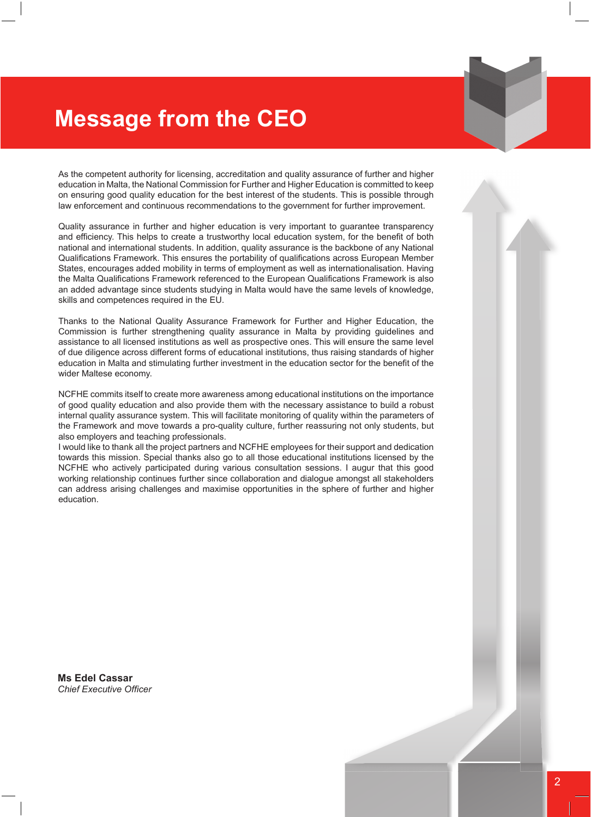# **Message from the CEO**

As the competent authority for licensing, accreditation and quality assurance of further and higher education in Malta, the National Commission for Further and Higher Education is committed to keep on ensuring good quality education for the best interest of the students. This is possible through law enforcement and continuous recommendations to the government for further improvement.

Quality assurance in further and higher education is very important to guarantee transparency and efficiency. This helps to create a trustworthy local education system, for the benefit of both national and international students. In addition, quality assurance is the backbone of any National Qualifications Framework. This ensures the portability of qualifications across European Member States, encourages added mobility in terms of employment as well as internationalisation. Having the Malta Qualifications Framework referenced to the European Qualifications Framework is also an added advantage since students studying in Malta would have the same levels of knowledge, skills and competences required in the EU.

Thanks to the National Quality Assurance Framework for Further and Higher Education, the Commission is further strengthening quality assurance in Malta by providing guidelines and assistance to all licensed institutions as well as prospective ones. This will ensure the same level of due diligence across different forms of educational institutions, thus raising standards of higher education in Malta and stimulating further investment in the education sector for the benefit of the wider Maltese economy.

NCFHE commits itself to create more awareness among educational institutions on the importance of good quality education and also provide them with the necessary assistance to build a robust internal quality assurance system. This will facilitate monitoring of quality within the parameters of the Framework and move towards a pro-quality culture, further reassuring not only students, but also employers and teaching professionals.

I would like to thank all the project partners and NCFHE employees for their support and dedication towards this mission. Special thanks also go to all those educational institutions licensed by the NCFHE who actively participated during various consultation sessions. I augur that this good working relationship continues further since collaboration and dialogue amongst all stakeholders can address arising challenges and maximise opportunities in the sphere of further and higher education.

**Ms Edel Cassar** *Chief Executive Officer*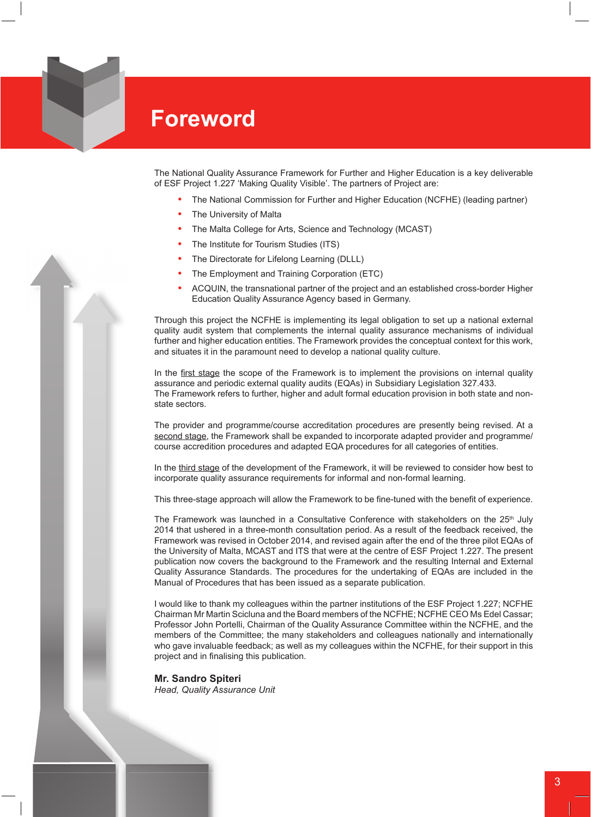

The National Quality Assurance Framework for Further and Higher Education is a key deliverable of ESF Project 1.227 'Making Quality Visible'. The partners of Project are:

- The National Commission for Further and Higher Education (NCFHE) (leading partner)
- **The University of Malta**
- The Malta College for Arts, Science and Technology (MCAST)
- The Institute for Tourism Studies (ITS)
- The Directorate for Lifelong Learning (DLLL)
- The Employment and Training Corporation (ETC)
- **•**  ACQUIN, the transnational partner of the project and an established cross-border Higher Education Quality Assurance Agency based in Germany.

Through this project the NCFHE is implementing its legal obligation to set up a national external quality audit system that complements the internal quality assurance mechanisms of individual further and higher education entities. The Framework provides the conceptual context for this work, and situates it in the paramount need to develop a national quality culture.

In the first stage the scope of the Framework is to implement the provisions on internal quality assurance and periodic external quality audits (EQAs) in Subsidiary Legislation 327.433. The Framework refers to further, higher and adult formal education provision in both state and nonstate sectors.

The provider and programme/course accreditation procedures are presently being revised. At a second stage, the Framework shall be expanded to incorporate adapted provider and programme/ course accredition procedures and adapted EQA procedures for all categories of entities.

In the third stage of the development of the Framework, it will be reviewed to consider how best to incorporate quality assurance requirements for informal and non-formal learning.

This three-stage approach will allow the Framework to be fine-tuned with the benefit of experience.

The Framework was launched in a Consultative Conference with stakeholders on the  $25<sup>th</sup>$  July 2014 that ushered in a three-month consultation period. As a result of the feedback received, the Framework was revised in October 2014, and revised again after the end of the three pilot EQAs of the University of Malta, MCAST and ITS that were at the centre of ESF Project 1.227. The present publication now covers the background to the Framework and the resulting Internal and External Quality Assurance Standards. The procedures for the undertaking of EQAs are included in the Manual of Procedures that has been issued as a separate publication.

I would like to thank my colleagues within the partner institutions of the ESF Project 1.227; NCFHE Chairman Mr Martin Scicluna and the Board members of the NCFHE; NCFHE CEO Ms Edel Cassar; Professor John Portelli, Chairman of the Quality Assurance Committee within the NCFHE, and the members of the Committee; the many stakeholders and colleagues nationally and internationally who gave invaluable feedback; as well as my colleagues within the NCFHE, for their support in this project and in finalising this publication.

**Mr. Sandro Spiteri** *Head, Quality Assurance Unit*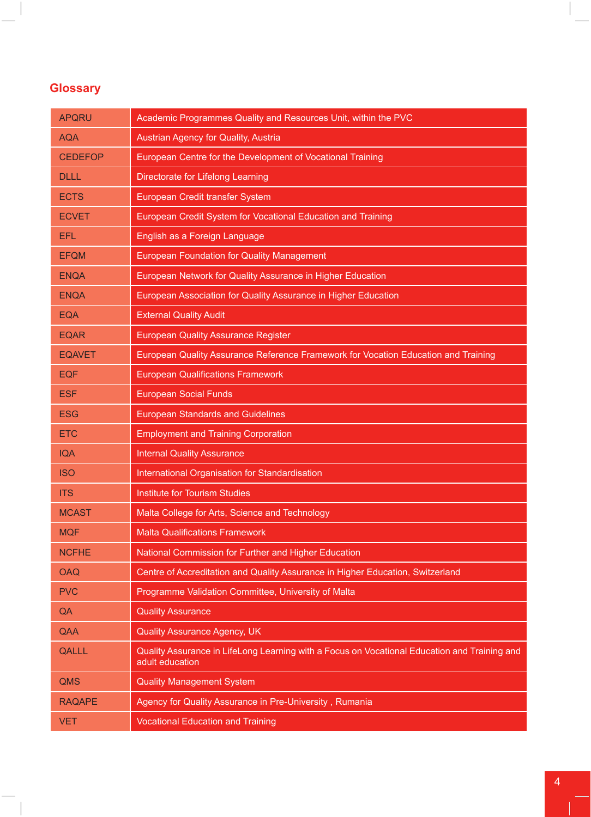# **Glossary**

 $\frac{1}{\sqrt{2\pi}}\int d^3x\sqrt{\frac{1}{2(1-x^2)}}\left( \frac{1}{2(1-x^2)}\right) \frac{dx}{(1-x^2)^2}dx$ 

| <b>APQRU</b>   | Academic Programmes Quality and Resources Unit, within the PVC                                                  |
|----------------|-----------------------------------------------------------------------------------------------------------------|
| <b>AQA</b>     | <b>Austrian Agency for Quality, Austria</b>                                                                     |
| <b>CEDEFOP</b> | European Centre for the Development of Vocational Training                                                      |
| <b>DLLL</b>    | Directorate for Lifelong Learning                                                                               |
| <b>ECTS</b>    | European Credit transfer System                                                                                 |
| <b>ECVET</b>   | European Credit System for Vocational Education and Training                                                    |
| <b>EFL</b>     | English as a Foreign Language                                                                                   |
| <b>EFQM</b>    | <b>European Foundation for Quality Management</b>                                                               |
| <b>ENQA</b>    | European Network for Quality Assurance in Higher Education                                                      |
| <b>ENQA</b>    | European Association for Quality Assurance in Higher Education                                                  |
| <b>EQA</b>     | <b>External Quality Audit</b>                                                                                   |
| <b>EQAR</b>    | <b>European Quality Assurance Register</b>                                                                      |
| <b>EQAVET</b>  | European Quality Assurance Reference Framework for Vocation Education and Training                              |
| <b>EQF</b>     | <b>European Qualifications Framework</b>                                                                        |
| <b>ESF</b>     | <b>European Social Funds</b>                                                                                    |
| <b>ESG</b>     | <b>European Standards and Guidelines</b>                                                                        |
| <b>ETC</b>     | <b>Employment and Training Corporation</b>                                                                      |
| <b>IQA</b>     | <b>Internal Quality Assurance</b>                                                                               |
| <b>ISO</b>     | International Organisation for Standardisation                                                                  |
| <b>ITS</b>     | <b>Institute for Tourism Studies</b>                                                                            |
| <b>MCAST</b>   | Malta College for Arts, Science and Technology                                                                  |
| <b>MQF</b>     | <b>Malta Qualifications Framework</b>                                                                           |
| <b>NCFHE</b>   | National Commission for Further and Higher Education                                                            |
| <b>OAQ</b>     | Centre of Accreditation and Quality Assurance in Higher Education, Switzerland                                  |
| <b>PVC</b>     | Programme Validation Committee, University of Malta                                                             |
| QA             | <b>Quality Assurance</b>                                                                                        |
| QAA            | <b>Quality Assurance Agency, UK</b>                                                                             |
| <b>QALLL</b>   | Quality Assurance in LifeLong Learning with a Focus on Vocational Education and Training and<br>adult education |
| <b>QMS</b>     | <b>Quality Management System</b>                                                                                |
| <b>RAQAPE</b>  | Agency for Quality Assurance in Pre-University, Rumania                                                         |
| <b>VET</b>     | <b>Vocational Education and Training</b>                                                                        |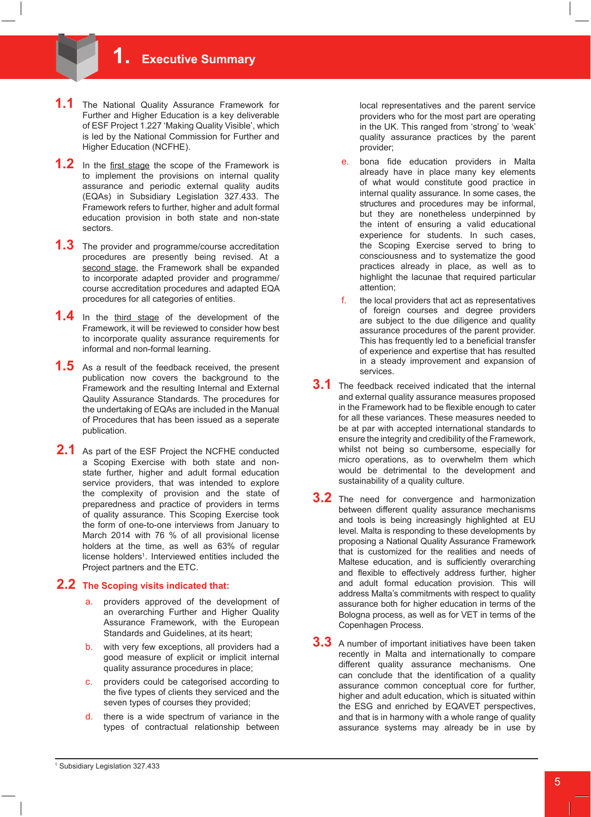- 1.1 The National Quality Assurance Framework for Further and Higher Education is a key deliverable of ESF Project 1.227 'Making Quality Visible', which is led by the National Commission for Further and Higher Education (NCFHE).
- **1.2** In the first stage the scope of the Framework is to implement the provisions on internal quality assurance and periodic external quality audits (EQAs) in Subsidiary Legislation 327.433. The Framework refers to further, higher and adult formal education provision in both state and non-state sectors.
- **1.3** The provider and programme/course accreditation procedures are presently being revised. At a second stage, the Framework shall be expanded to incorporate adapted provider and programme/ course accreditation procedures and adapted EQA procedures for all categories of entities.
- 1.4 In the third stage of the development of the Framework, it will be reviewed to consider how best to incorporate quality assurance requirements for informal and non-formal learning.
- **1.5** As a result of the feedback received, the present publication now covers the background to the Framework and the resulting Internal and External Qaulity Assurance Standards. The procedures for the undertaking of EQAs are included in the Manual of Procedures that has been issued as a seperate publication.
- 2.1 As part of the ESF Project the NCFHE conducted a Scoping Exercise with both state and nonstate further, higher and adult formal education service providers, that was intended to explore the complexity of provision and the state of preparedness and practice of providers in terms of quality assurance. This Scoping Exercise took the form of one-to-one interviews from January to March 2014 with 76 % of all provisional license holders at the time, as well as 63% of regular license holders<sup>1</sup>. Interviewed entities included the Project partners and the ETC.

#### **2.2 The Scoping visits indicated that:**

- a. providers approved of the development of an overarching Further and Higher Quality Assurance Framework, with the European Standards and Guidelines, at its heart;
- b. with very few exceptions, all providers had a good measure of explicit or implicit internal quality assurance procedures in place;
- c. providers could be categorised according to the five types of clients they serviced and the seven types of courses they provided;
- d. there is a wide spectrum of variance in the types of contractual relationship between

local representatives and the parent service providers who for the most part are operating in the UK. This ranged from 'strong' to 'weak' quality assurance practices by the parent provider;

- e. bona fide education providers in Malta already have in place many key elements of what would constitute good practice in internal quality assurance. In some cases, the structures and procedures may be informal, but they are nonetheless underpinned by the intent of ensuring a valid educational experience for students. In such cases, the Scoping Exercise served to bring to consciousness and to systematize the good practices already in place, as well as to highlight the lacunae that required particular attention;
- f. the local providers that act as representatives of foreign courses and degree providers are subject to the due diligence and quality assurance procedures of the parent provider. This has frequently led to a beneficial transfer of experience and expertise that has resulted in a steady improvement and expansion of services.
- **3.1** The feedback received indicated that the internal and external quality assurance measures proposed in the Framework had to be flexible enough to cater for all these variances. These measures needed to be at par with accepted international standards to ensure the integrity and credibility of the Framework, whilst not being so cumbersome, especially for micro operations, as to overwhelm them which would be detrimental to the development and sustainability of a quality culture.
- **3.2** The need for convergence and harmonization between different quality assurance mechanisms and tools is being increasingly highlighted at EU level. Malta is responding to these developments by proposing a National Quality Assurance Framework that is customized for the realities and needs of Maltese education, and is sufficiently overarching and flexible to effectively address further, higher and adult formal education provision. This will address Malta's commitments with respect to quality assurance both for higher education in terms of the Bologna process, as well as for VET in terms of the Copenhagen Process.
- **3.3** A number of important initiatives have been taken recently in Malta and internationally to compare different quality assurance mechanisms. One can conclude that the identification of a quality assurance common conceptual core for further, higher and adult education, which is situated within the ESG and enriched by EQAVET perspectives, and that is in harmony with a whole range of quality assurance systems may already be in use by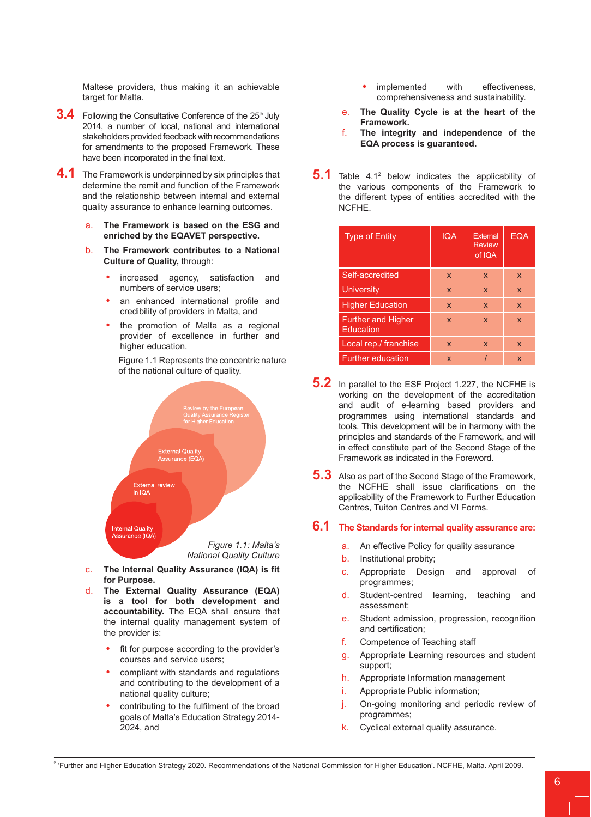Maltese providers, thus making it an achievable target for Malta.

- **3.4** Following the Consultative Conference of the 25<sup>th</sup> July 2014, a number of local, national and international stakeholders provided feedback with recommendations for amendments to the proposed Framework. These have been incorporated in the final text.
- **4.1** The Framework is underpinned by six principles that determine the remit and function of the Framework and the relationship between internal and external quality assurance to enhance learning outcomes.
	- a. **The Framework is based on the ESG and enriched by the EQAVET perspective.**
	- b. **The Framework contributes to a National Culture of Quality,** through:
		- increased agency, satisfaction and numbers of service users;
		- an enhanced international profile and credibility of providers in Malta, and
		- the promotion of Malta as a regional provider of excellence in further and higher education.

Figure 1.1 Represents the concentric nature of the national culture of quality.



- c. **The Internal Quality Assurance (IQA) is fit for Purpose.**
- d. **The External Quality Assurance (EQA) is a tool for both development and accountability.** The EQA shall ensure that the internal quality management system of the provider is:
	- fit for purpose according to the provider's courses and service users;
	- **•**  compliant with standards and regulations and contributing to the development of a national quality culture;
	- contributing to the fulfilment of the broad goals of Malta's Education Strategy 2014- 2024, and
- implemented with effectiveness, comprehensiveness and sustainability.
- e. **The Quality Cycle is at the heart of the Framework.**
- f. **The integrity and independence of the EQA process is guaranteed.**
- **5.1** Table 4.1<sup>2</sup> below indicates the applicability of the various components of the Framework to the different types of entities accredited with the NCFHE.

| <b>Type of Entity</b>                  | <b>IQA</b>  | External<br><b>Review</b><br>of IQA | EQA          |
|----------------------------------------|-------------|-------------------------------------|--------------|
| Self-accredited                        | X           | X                                   | X            |
| <b>University</b>                      | X           | X                                   | X            |
| <b>Higher Education</b>                | X           | X                                   | X            |
| <b>Further and Higher</b><br>Education | $\mathbf x$ | $\mathbf x$                         | $\mathbf{x}$ |
| Local rep./ franchise                  | X           | X                                   | $\mathbf{x}$ |
| <b>Further education</b>               | X           |                                     | X            |

- **5.2** In parallel to the ESF Project 1.227, the NCFHE is working on the development of the accreditation and audit of e-learning based providers and programmes using international standards and tools. This development will be in harmony with the principles and standards of the Framework, and will in effect constitute part of the Second Stage of the Framework as indicated in the Foreword.
- **5.3** Also as part of the Second Stage of the Framework, the NCFHE shall issue clarifications on the applicability of the Framework to Further Education Centres, Tuiton Centres and VI Forms.

# **6.1 The Standards for internal quality assurance are:**

- a. An effective Policy for quality assurance
- b. Institutional probity;
- c. Appropriate Design and approval of programmes;
- d. Student-centred learning, teaching and assessment;
- e. Student admission, progression, recognition and certification;
- f. Competence of Teaching staff
- g. Appropriate Learning resources and student support;
- h. Appropriate Information management
- i. Appropriate Public information;
- j. On-going monitoring and periodic review of programmes;
- k. Cyclical external quality assurance.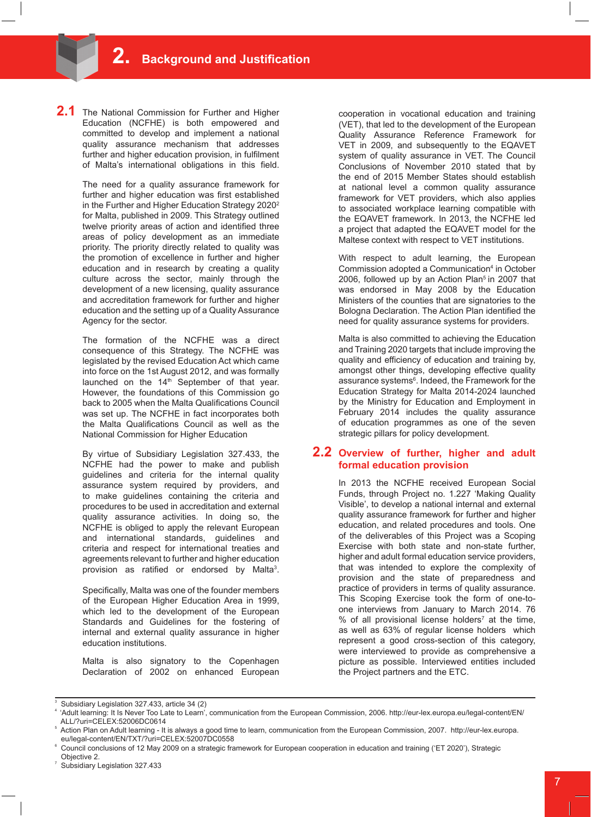**2.1** The National Commission for Further and Higher Education (NCFHE) is both empowered and committed to develop and implement a national quality assurance mechanism that addresses further and higher education provision, in fulfilment of Malta's international obligations in this field.

> The need for a quality assurance framework for further and higher education was first established in the Further and Higher Education Strategy 2020<sup>2</sup> for Malta, published in 2009. This Strategy outlined twelve priority areas of action and identified three areas of policy development as an immediate priority. The priority directly related to quality was the promotion of excellence in further and higher education and in research by creating a quality culture across the sector, mainly through the development of a new licensing, quality assurance and accreditation framework for further and higher education and the setting up of a Quality Assurance Agency for the sector.

> The formation of the NCFHE was a direct consequence of this Strategy. The NCFHE was legislated by the revised Education Act which came into force on the 1st August 2012, and was formally launched on the 14<sup>th</sup> September of that year. However, the foundations of this Commission go back to 2005 when the Malta Qualifications Council was set up. The NCFHE in fact incorporates both the Malta Qualifications Council as well as the National Commission for Higher Education

> By virtue of Subsidiary Legislation 327.433, the NCFHE had the power to make and publish guidelines and criteria for the internal quality assurance system required by providers, and to make guidelines containing the criteria and procedures to be used in accreditation and external quality assurance activities. In doing so, the NCFHE is obliged to apply the relevant European and international standards, guidelines and criteria and respect for international treaties and agreements relevant to further and higher education provision as ratified or endorsed by Malta<sup>3</sup>.

> Specifically, Malta was one of the founder members of the European Higher Education Area in 1999, which led to the development of the European Standards and Guidelines for the fostering of internal and external quality assurance in higher education institutions.

Malta is also signatory to the Copenhagen Declaration of 2002 on enhanced European

cooperation in vocational education and training (VET), that led to the development of the European Quality Assurance Reference Framework for VET in 2009, and subsequently to the EQAVET system of quality assurance in VET. The Council Conclusions of November 2010 stated that by the end of 2015 Member States should establish at national level a common quality assurance framework for VET providers, which also applies to associated workplace learning compatible with the EQAVET framework. In 2013, the NCFHE led a project that adapted the EQAVET model for the Maltese context with respect to VET institutions.

With respect to adult learning, the European Commission adopted a Communication<sup>4</sup> in October 2006, followed up by an Action Plan $5$  in 2007 that was endorsed in May 2008 by the Education Ministers of the counties that are signatories to the Bologna Declaration. The Action Plan identified the need for quality assurance systems for providers.

Malta is also committed to achieving the Education and Training 2020 targets that include improving the quality and efficiency of education and training by, amongst other things, developing effective quality assurance systems<sup>6</sup>. Indeed, the Framework for the Education Strategy for Malta 2014-2024 launched by the Ministry for Education and Employment in February 2014 includes the quality assurance of education programmes as one of the seven strategic pillars for policy development.

#### **2.2 Overview of further, higher and adult formal education provision**

In 2013 the NCFHE received European Social Funds, through Project no. 1.227 'Making Quality Visible', to develop a national internal and external quality assurance framework for further and higher education, and related procedures and tools. One of the deliverables of this Project was a Scoping Exercise with both state and non-state further, higher and adult formal education service providers, that was intended to explore the complexity of provision and the state of preparedness and practice of providers in terms of quality assurance. This Scoping Exercise took the form of one-toone interviews from January to March 2014. 76  $%$  of all provisional license holders<sup>7</sup> at the time, as well as 63% of regular license holders which represent a good cross-section of this category, were interviewed to provide as comprehensive a picture as possible. Interviewed entities included the Project partners and the ETC.

7 Subsidiary Legislation 327.433

<sup>3</sup> Subsidiary Legislation 327.433, article 34 (2)

<sup>&#</sup>x27;Adult learning: It Is Never Too Late to Learn', communication from the European Commission, 2006. http://eur-lex.europa.eu/legal-content/EN/ ALL/?uri=CELEX:52006DC0614

<sup>5</sup> Action Plan on Adult learning - It is always a good time to learn, communication from the European Commission, 2007. http://eur-lex.europa. eu/legal-content/EN/TXT/?uri=CELEX:52007DC0558

 $\degree$  Council conclusions of 12 May 2009 on a strategic framework for European cooperation in education and training ('ET 2020'), Strategic Objective 2.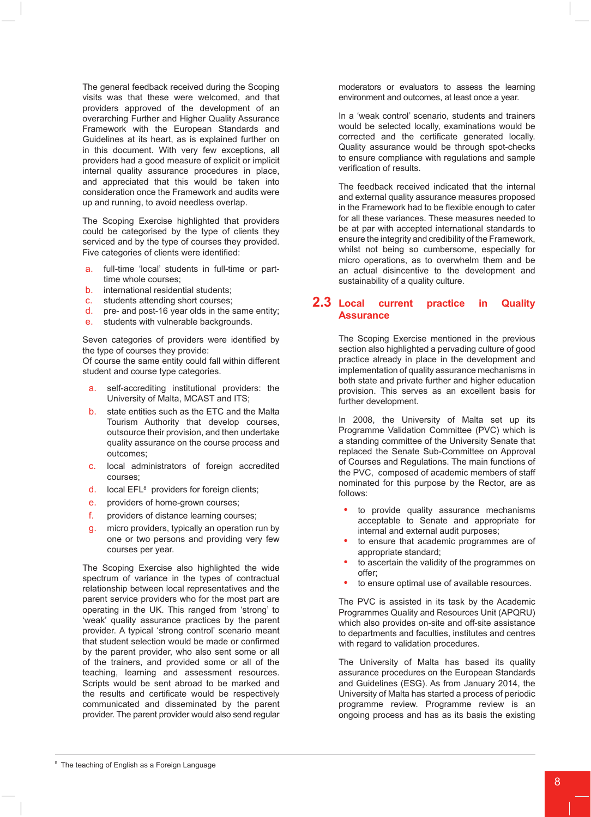The general feedback received during the Scoping visits was that these were welcomed, and that providers approved of the development of an overarching Further and Higher Quality Assurance Framework with the European Standards and Guidelines at its heart, as is explained further on in this document. With very few exceptions, all providers had a good measure of explicit or implicit internal quality assurance procedures in place, and appreciated that this would be taken into consideration once the Framework and audits were up and running, to avoid needless overlap.

The Scoping Exercise highlighted that providers could be categorised by the type of clients they serviced and by the type of courses they provided. Five categories of clients were identified:

- a. full-time 'local' students in full-time or parttime whole courses;
- b. international residential students;
- c. students attending short courses;
- d. pre- and post-16 year olds in the same entity;
- e. students with vulnerable backgrounds.

Seven categories of providers were identified by the type of courses they provide:

Of course the same entity could fall within different student and course type categories.

- a. self-accrediting institutional providers: the University of Malta, MCAST and ITS;
- b. state entities such as the ETC and the Malta Tourism Authority that develop courses, outsource their provision, and then undertake quality assurance on the course process and outcomes;
- c. local administrators of foreign accredited courses;
- d. local EFL<sup>8</sup> providers for foreign clients;
- e. providers of home-grown courses;
- f. providers of distance learning courses;
- g. micro providers, typically an operation run by one or two persons and providing very few courses per year.

The Scoping Exercise also highlighted the wide spectrum of variance in the types of contractual relationship between local representatives and the parent service providers who for the most part are operating in the UK. This ranged from 'strong' to 'weak' quality assurance practices by the parent provider. A typical 'strong control' scenario meant that student selection would be made or confirmed by the parent provider, who also sent some or all of the trainers, and provided some or all of the teaching, learning and assessment resources. Scripts would be sent abroad to be marked and the results and certificate would be respectively communicated and disseminated by the parent provider. The parent provider would also send regular

moderators or evaluators to assess the learning environment and outcomes, at least once a year.

In a 'weak control' scenario, students and trainers would be selected locally, examinations would be corrected and the certificate generated locally. Quality assurance would be through spot-checks to ensure compliance with regulations and sample verification of results.

The feedback received indicated that the internal and external quality assurance measures proposed in the Framework had to be flexible enough to cater for all these variances. These measures needed to be at par with accepted international standards to ensure the integrity and credibility of the Framework, whilst not being so cumbersome, especially for micro operations, as to overwhelm them and be an actual disincentive to the development and sustainability of a quality culture.

# **2.3 Local current practice in Quality Assurance**

The Scoping Exercise mentioned in the previous section also highlighted a pervading culture of good practice already in place in the development and implementation of quality assurance mechanisms in both state and private further and higher education provision. This serves as an excellent basis for further development.

In 2008, the University of Malta set up its Programme Validation Committee (PVC) which is a standing committee of the University Senate that replaced the Senate Sub-Committee on Approval of Courses and Regulations. The main functions of the PVC, composed of academic members of staff nominated for this purpose by the Rector, are as follows:

- to provide quality assurance mechanisms acceptable to Senate and appropriate for internal and external audit purposes;
- to ensure that academic programmes are of appropriate standard;
- to ascertain the validity of the programmes on offer;
- to ensure optimal use of available resources.

The PVC is assisted in its task by the Academic Programmes Quality and Resources Unit (APQRU) which also provides on-site and off-site assistance to departments and faculties, institutes and centres with regard to validation procedures.

The University of Malta has based its quality assurance procedures on the European Standards and Guidelines (ESG). As from January 2014, the University of Malta has started a process of periodic programme review. Programme review is an ongoing process and has as its basis the existing

<sup>8</sup> The teaching of English as a Foreign Language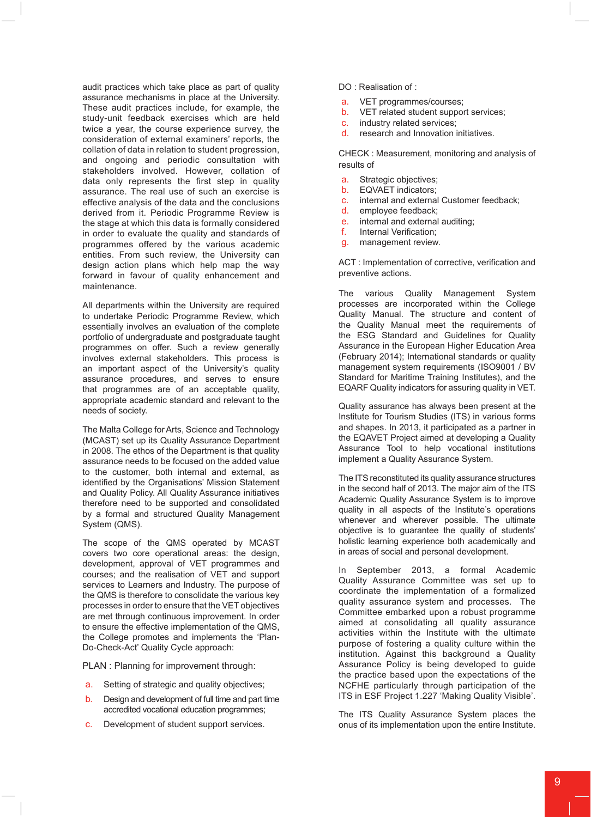audit practices which take place as part of quality assurance mechanisms in place at the University. These audit practices include, for example, the study-unit feedback exercises which are held twice a year, the course experience survey, the consideration of external examiners' reports, the collation of data in relation to student progression, and ongoing and periodic consultation with stakeholders involved. However, collation of data only represents the first step in quality assurance. The real use of such an exercise is effective analysis of the data and the conclusions derived from it. Periodic Programme Review is the stage at which this data is formally considered in order to evaluate the quality and standards of programmes offered by the various academic entities. From such review, the University can design action plans which help map the way forward in favour of quality enhancement and maintenance.

All departments within the University are required to undertake Periodic Programme Review, which essentially involves an evaluation of the complete portfolio of undergraduate and postgraduate taught programmes on offer. Such a review generally involves external stakeholders. This process is an important aspect of the University's quality assurance procedures, and serves to ensure that programmes are of an acceptable quality, appropriate academic standard and relevant to the needs of society.

The Malta College for Arts, Science and Technology (MCAST) set up its Quality Assurance Department in 2008. The ethos of the Department is that quality assurance needs to be focused on the added value to the customer, both internal and external, as identified by the Organisations' Mission Statement and Quality Policy. All Quality Assurance initiatives therefore need to be supported and consolidated by a formal and structured Quality Management System (QMS).

The scope of the QMS operated by MCAST covers two core operational areas: the design, development, approval of VET programmes and courses; and the realisation of VET and support services to Learners and Industry. The purpose of the QMS is therefore to consolidate the various key processes in order to ensure that the VET objectives are met through continuous improvement. In order to ensure the effective implementation of the QMS, the College promotes and implements the 'Plan-Do-Check-Act' Quality Cycle approach:

PLAN : Planning for improvement through:

- a. Setting of strategic and quality objectives;
- b. Design and development of full time and part time accredited vocational education programmes;
- c. Development of student support services.

#### DO : Realisation of :

- a. VET programmes/courses;<br>b. VFT related student suppor
- VET related student support services;
- c. industry related services;
- d. research and Innovation initiatives.

CHECK : Measurement, monitoring and analysis of results of

- a. Strategic objectives;
- b. EQVAET indicators;
- c. internal and external Customer feedback;
- d. employee feedback;
- e. internal and external auditing;<br>f. Internal Verification;
- Internal Verification;
- g. management review.

ACT : Implementation of corrective, verification and preventive actions.

The various Quality Management System processes are incorporated within the College Quality Manual. The structure and content of the Quality Manual meet the requirements of the ESG Standard and Guidelines for Quality Assurance in the European Higher Education Area (February 2014); International standards or quality management system requirements (ISO9001 / BV Standard for Maritime Training Institutes), and the EQARF Quality indicators for assuring quality in VET.

Quality assurance has always been present at the Institute for Tourism Studies (ITS) in various forms and shapes. In 2013, it participated as a partner in the EQAVET Project aimed at developing a Quality Assurance Tool to help vocational institutions implement a Quality Assurance System.

The ITS reconstituted its quality assurance structures in the second half of 2013. The major aim of the ITS Academic Quality Assurance System is to improve quality in all aspects of the Institute's operations whenever and wherever possible. The ultimate objective is to guarantee the quality of students' holistic learning experience both academically and in areas of social and personal development.

In September 2013, a formal Academic Quality Assurance Committee was set up to coordinate the implementation of a formalized quality assurance system and processes. The Committee embarked upon a robust programme aimed at consolidating all quality assurance activities within the Institute with the ultimate purpose of fostering a quality culture within the institution. Against this background a Quality Assurance Policy is being developed to guide the practice based upon the expectations of the NCFHE particularly through participation of the ITS in ESF Project 1.227 'Making Quality Visible'.

The ITS Quality Assurance System places the onus of its implementation upon the entire Institute.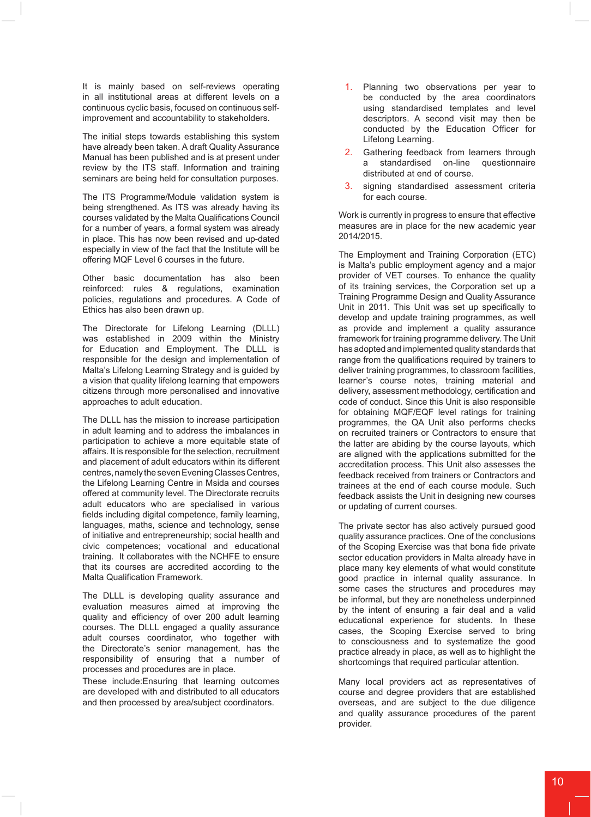It is mainly based on self-reviews operating in all institutional areas at different levels on a continuous cyclic basis, focused on continuous selfimprovement and accountability to stakeholders.

The initial steps towards establishing this system have already been taken. A draft Quality Assurance Manual has been published and is at present under review by the ITS staff. Information and training seminars are being held for consultation purposes.

The ITS Programme/Module validation system is being strengthened. As ITS was already having its courses validated by the Malta Qualifications Council for a number of years, a formal system was already in place. This has now been revised and up-dated especially in view of the fact that the Institute will be offering MQF Level 6 courses in the future.

Other basic documentation has also been reinforced: rules & regulations, examination policies, regulations and procedures. A Code of Ethics has also been drawn up.

The Directorate for Lifelong Learning (DLLL) was established in 2009 within the Ministry for Education and Employment. The DLLL is responsible for the design and implementation of Malta's Lifelong Learning Strategy and is guided by a vision that quality lifelong learning that empowers citizens through more personalised and innovative approaches to adult education.

The DLLL has the mission to increase participation in adult learning and to address the imbalances in participation to achieve a more equitable state of affairs. It is responsible for the selection, recruitment and placement of adult educators within its different centres, namely the seven Evening Classes Centres, the Lifelong Learning Centre in Msida and courses offered at community level. The Directorate recruits adult educators who are specialised in various fields including digital competence, family learning, languages, maths, science and technology, sense of initiative and entrepreneurship; social health and civic competences; vocational and educational training. It collaborates with the NCHFE to ensure that its courses are accredited according to the Malta Qualification Framework.

The DLLL is developing quality assurance and evaluation measures aimed at improving the quality and efficiency of over 200 adult learning courses. The DLLL engaged a quality assurance adult courses coordinator, who together with the Directorate's senior management, has the responsibility of ensuring that a number of processes and procedures are in place.

These include:Ensuring that learning outcomes are developed with and distributed to all educators and then processed by area/subject coordinators.

- 1. Planning two observations per year to be conducted by the area coordinators using standardised templates and level descriptors. A second visit may then be conducted by the Education Officer for Lifelong Learning.
- Gathering feedback from learners through a standardised on-line questionnaire distributed at end of course.
- 3. signing standardised assessment criteria for each course.

Work is currently in progress to ensure that effective measures are in place for the new academic year 2014/2015.

The Employment and Training Corporation (ETC) is Malta's public employment agency and a major provider of VET courses. To enhance the quality of its training services, the Corporation set up a Training Programme Design and Quality Assurance Unit in 2011. This Unit was set up specifically to develop and update training programmes, as well as provide and implement a quality assurance framework for training programme delivery. The Unit has adopted and implemented quality standards that range from the qualifications required by trainers to deliver training programmes, to classroom facilities, learner's course notes, training material and delivery, assessment methodology, certification and code of conduct. Since this Unit is also responsible for obtaining MQF/EQF level ratings for training programmes, the QA Unit also performs checks on recruited trainers or Contractors to ensure that the latter are abiding by the course layouts, which are aligned with the applications submitted for the accreditation process. This Unit also assesses the feedback received from trainers or Contractors and trainees at the end of each course module. Such feedback assists the Unit in designing new courses or updating of current courses.

The private sector has also actively pursued good quality assurance practices. One of the conclusions of the Scoping Exercise was that bona fide private sector education providers in Malta already have in place many key elements of what would constitute good practice in internal quality assurance. In some cases the structures and procedures may be informal, but they are nonetheless underpinned by the intent of ensuring a fair deal and a valid educational experience for students. In these cases, the Scoping Exercise served to bring to consciousness and to systematize the good practice already in place, as well as to highlight the shortcomings that required particular attention.

Many local providers act as representatives of course and degree providers that are established overseas, and are subject to the due diligence and quality assurance procedures of the parent provider.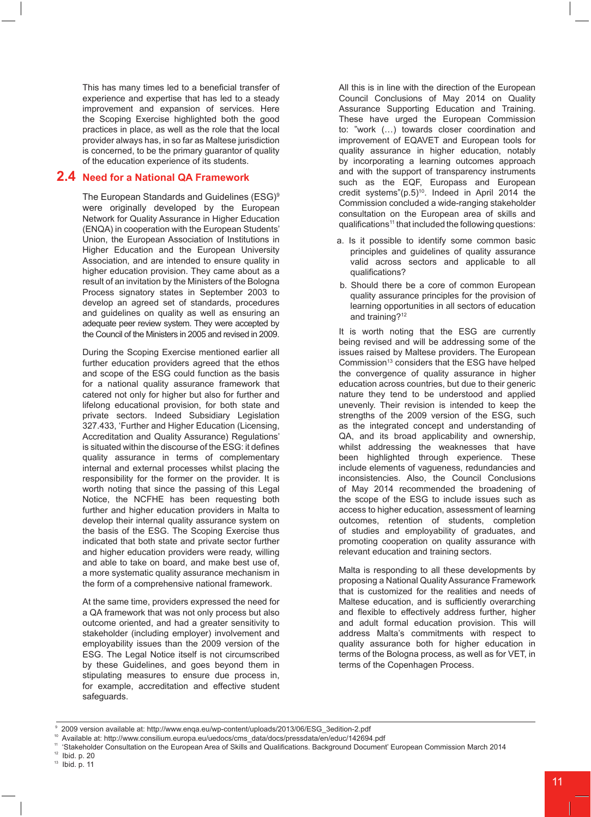This has many times led to a beneficial transfer of experience and expertise that has led to a steady improvement and expansion of services. Here the Scoping Exercise highlighted both the good practices in place, as well as the role that the local provider always has, in so far as Maltese jurisdiction is concerned, to be the primary guarantor of quality of the education experience of its students.

# **2.4 Need for a National QA Framework**

The European Standards and Guidelines (ESG)<sup>9</sup> were originally developed by the European Network for Quality Assurance in Higher Education (ENQA) in cooperation with the European Students' Union, the European Association of Institutions in Higher Education and the European University Association, and are intended to ensure quality in higher education provision. They came about as a result of an invitation by the Ministers of the Bologna Process signatory states in September 2003 to develop an agreed set of standards, procedures and guidelines on quality as well as ensuring an adequate peer review system. They were accepted by the Council of the Ministers in 2005 and revised in 2009.

During the Scoping Exercise mentioned earlier all further education providers agreed that the ethos and scope of the ESG could function as the basis for a national quality assurance framework that catered not only for higher but also for further and lifelong educational provision, for both state and private sectors. Indeed Subsidiary Legislation 327.433, 'Further and Higher Education (Licensing, Accreditation and Quality Assurance) Regulations' is situated within the discourse of the ESG: it defines quality assurance in terms of complementary internal and external processes whilst placing the responsibility for the former on the provider. It is worth noting that since the passing of this Legal Notice, the NCFHE has been requesting both further and higher education providers in Malta to develop their internal quality assurance system on the basis of the ESG. The Scoping Exercise thus indicated that both state and private sector further and higher education providers were ready, willing and able to take on board, and make best use of, a more systematic quality assurance mechanism in the form of a comprehensive national framework.

At the same time, providers expressed the need for a QA framework that was not only process but also outcome oriented, and had a greater sensitivity to stakeholder (including employer) involvement and employability issues than the 2009 version of the ESG. The Legal Notice itself is not circumscribed by these Guidelines, and goes beyond them in stipulating measures to ensure due process in, for example, accreditation and effective student safeguards.

All this is in line with the direction of the European Council Conclusions of May 2014 on Quality Assurance Supporting Education and Training. These have urged the European Commission to: "work (…) towards closer coordination and improvement of EQAVET and European tools for quality assurance in higher education, notably by incorporating a learning outcomes approach and with the support of transparency instruments such as the EQF, Europass and European credit systems" $(p.5)^{10}$ . Indeed in April 2014 the Commission concluded a wide-ranging stakeholder consultation on the European area of skills and qualifications<sup>11</sup> that included the following questions:

- a. Is it possible to identify some common basic principles and guidelines of quality assurance valid across sectors and applicable to all qualifications?
- b. Should there be a core of common European quality assurance principles for the provision of learning opportunities in all sectors of education and training?12

It is worth noting that the ESG are currently being revised and will be addressing some of the issues raised by Maltese providers. The European Commission<sup>13</sup> considers that the ESG have helped the convergence of quality assurance in higher education across countries, but due to their generic nature they tend to be understood and applied unevenly. Their revision is intended to keep the strengths of the 2009 version of the ESG, such as the integrated concept and understanding of QA, and its broad applicability and ownership, whilst addressing the weaknesses that have been highlighted through experience. These include elements of vagueness, redundancies and inconsistencies. Also, the Council Conclusions of May 2014 recommended the broadening of the scope of the ESG to include issues such as access to higher education, assessment of learning outcomes, retention of students, completion of studies and employability of graduates, and promoting cooperation on quality assurance with relevant education and training sectors.

Malta is responding to all these developments by proposing a National Quality Assurance Framework that is customized for the realities and needs of Maltese education, and is sufficiently overarching and flexible to effectively address further, higher and adult formal education provision. This will address Malta's commitments with respect to quality assurance both for higher education in terms of the Bologna process, as well as for VET, in terms of the Copenhagen Process.

 $12$  Ibid. p. 20

 <sup>9 2009</sup> version available at: http://www.enqa.eu/wp-content/uploads/2013/06/ESG\_3edition-2.pdf

<sup>10</sup> Available at: http://www.consilium.europa.eu/uedocs/cms\_data/docs/pressdata/en/educ/142694.pdf

<sup>11 &#</sup>x27;Stakeholder Consultation on the European Area of Skills and Qualifications. Background Document' European Commission March 2014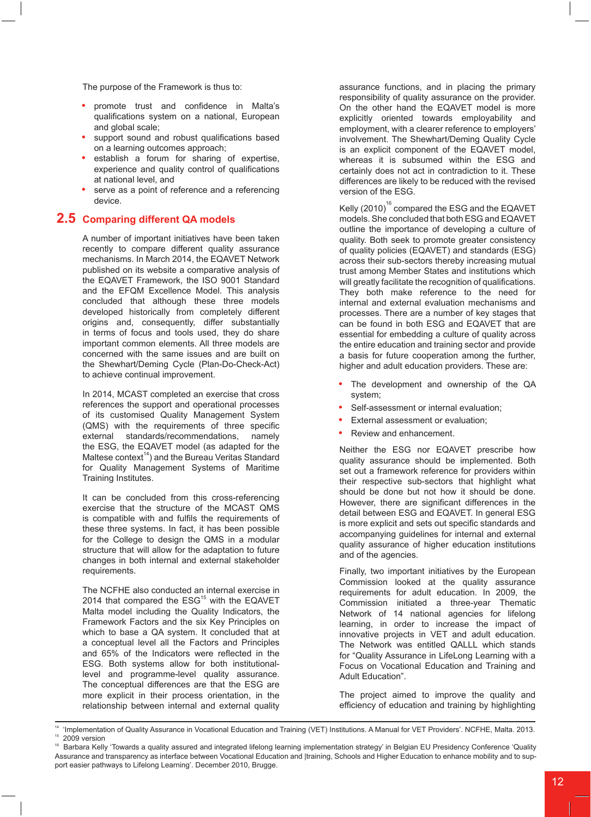The purpose of the Framework is thus to:

- promote trust and confidence in Malta's qualifications system on a national, European and global scale;
- **•**  support sound and robust qualifications based on a learning outcomes approach;
- establish a forum for sharing of expertise, experience and quality control of qualifications at national level, and
- serve as a point of reference and a referencing device.

# **2.5 Comparing different QA models**

A number of important initiatives have been taken recently to compare different quality assurance mechanisms. In March 2014, the EQAVET Network published on its website a comparative analysis of the EQAVET Framework, the ISO 9001 Standard and the EFQM Excellence Model. This analysis concluded that although these three models developed historically from completely different origins and, consequently, differ substantially in terms of focus and tools used, they do share important common elements. All three models are concerned with the same issues and are built on the Shewhart/Deming Cycle (Plan-Do-Check-Act) to achieve continual improvement.

In 2014, MCAST completed an exercise that cross references the support and operational processes of its customised Quality Management System (QMS) with the requirements of three specific external standards/recommendations, namely the ESG, the EQAVET model (as adapted for the Maltese context $14$ ) and the Bureau Veritas Standard for Quality Management Systems of Maritime Training Institutes.

It can be concluded from this cross-referencing exercise that the structure of the MCAST QMS is compatible with and fulfils the requirements of these three systems. In fact, it has been possible for the College to design the QMS in a modular structure that will allow for the adaptation to future changes in both internal and external stakeholder requirements.

The NCFHE also conducted an internal exercise in 2014 that compared the  $ESG<sup>15</sup>$  with the EQAVET Malta model including the Quality Indicators, the Framework Factors and the six Key Principles on which to base a QA system. It concluded that at a conceptual level all the Factors and Principles and 65% of the Indicators were reflected in the ESG. Both systems allow for both institutionallevel and programme-level quality assurance. The conceptual differences are that the ESG are more explicit in their process orientation, in the relationship between internal and external quality

assurance functions, and in placing the primary responsibility of quality assurance on the provider. On the other hand the EQAVET model is more explicitly oriented towards employability and employment, with a clearer reference to employers' involvement. The Shewhart/Deming Quality Cycle is an explicit component of the EQAVET model, whereas it is subsumed within the ESG and certainly does not act in contradiction to it. These differences are likely to be reduced with the revised version of the ESG.

Kelly  ${(2010)}^{16}$  compared the ESG and the EQAVET models. She concluded that both ESG and EQAVET outline the importance of developing a culture of quality. Both seek to promote greater consistency of quality policies (EQAVET) and standards (ESG) across their sub-sectors thereby increasing mutual trust among Member States and institutions which will greatly facilitate the recognition of qualifications. They both make reference to the need for internal and external evaluation mechanisms and processes. There are a number of key stages that can be found in both ESG and EQAVET that are essential for embedding a culture of quality across the entire education and training sector and provide a basis for future cooperation among the further, higher and adult education providers. These are:

- The development and ownership of the QA system;
- Self-assessment or internal evaluation;
- **External assessment or evaluation;**
- **Review and enhancement.**

Neither the ESG nor EQAVET prescribe how quality assurance should be implemented. Both set out a framework reference for providers within their respective sub-sectors that highlight what should be done but not how it should be done. However, there are significant differences in the detail between ESG and EQAVET. In general ESG is more explicit and sets out specific standards and accompanying guidelines for internal and external quality assurance of higher education institutions and of the agencies.

Finally, two important initiatives by the European Commission looked at the quality assurance requirements for adult education. In 2009, the Commission initiated a three-year Thematic Network of 14 national agencies for lifelong learning, in order to increase the impact of innovative projects in VET and adult education. The Network was entitled QALLL which stands for "Quality Assurance in LifeLong Learning with a Focus on Vocational Education and Training and Adult Education".

The project aimed to improve the quality and efficiency of education and training by highlighting

<sup>&</sup>lt;sup>14</sup> 'Implementation of Quality Assurance in Vocational Education and Training (VET) Institutions. A Manual for VET Providers'. NCFHE, Malta. 2013. <sup>15</sup> 2009 version

<sup>16</sup> Barbara Kelly 'Towards a quality assured and integrated lifelong learning implementation strategy' in Belgian EU Presidency Conference 'Quality Assurance and transparency as interface between Vocational Education and |training, Schools and Higher Education to enhance mobility and to support easier pathways to Lifelong Learning'. December 2010, Brugge.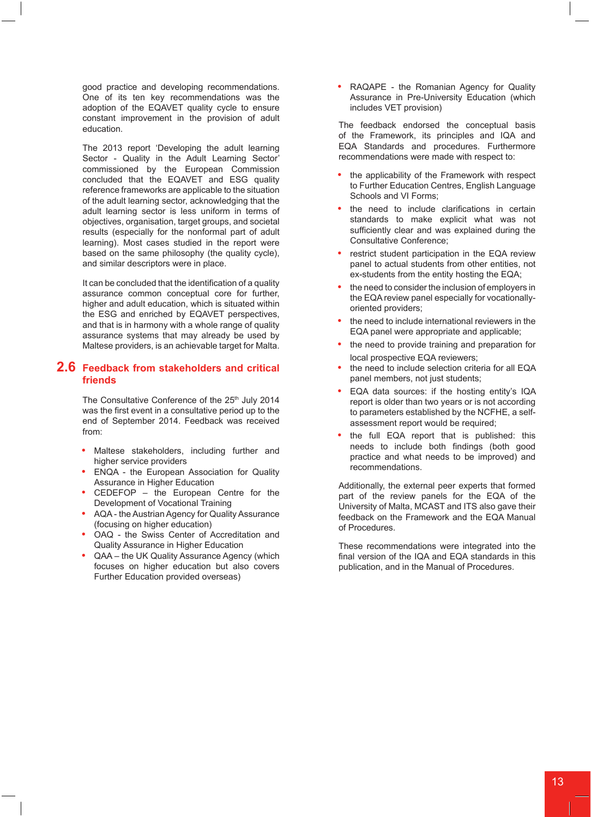good practice and developing recommendations. One of its ten key recommendations was the adoption of the EQAVET quality cycle to ensure constant improvement in the provision of adult education.

The 2013 report 'Developing the adult learning Sector - Quality in the Adult Learning Sector' commissioned by the European Commission concluded that the EQAVET and ESG quality reference frameworks are applicable to the situation of the adult learning sector, acknowledging that the adult learning sector is less uniform in terms of objectives, organisation, target groups, and societal results (especially for the nonformal part of adult learning). Most cases studied in the report were based on the same philosophy (the quality cycle), and similar descriptors were in place.

It can be concluded that the identification of a quality assurance common conceptual core for further, higher and adult education, which is situated within the ESG and enriched by EQAVET perspectives, and that is in harmony with a whole range of quality assurance systems that may already be used by Maltese providers, is an achievable target for Malta.

## **2.6 Feedback from stakeholders and critical friends**

The Consultative Conference of the 25<sup>th</sup> July 2014 was the first event in a consultative period up to the end of September 2014. Feedback was received from:

- **•**  Maltese stakeholders, including further and higher service providers
- **ENQA the European Association for Quality** Assurance in Higher Education
- CEDEFOP the European Centre for the Development of Vocational Training
- AQA the Austrian Agency for Quality Assurance (focusing on higher education)
- OAQ the Swiss Center of Accreditation and Quality Assurance in Higher Education
- QAA the UK Quality Assurance Agency (which focuses on higher education but also covers Further Education provided overseas)

RAQAPE - the Romanian Agency for Quality Assurance in Pre-University Education (which includes VET provision)

The feedback endorsed the conceptual basis of the Framework, its principles and IQA and EQA Standards and procedures. Furthermore recommendations were made with respect to:

- the applicability of the Framework with respect to Further Education Centres, English Language Schools and VI Forms;
- the need to include clarifications in certain standards to make explicit what was not sufficiently clear and was explained during the Consultative Conference;
- restrict student participation in the EQA review panel to actual students from other entities, not ex-students from the entity hosting the EQA;
- the need to consider the inclusion of employers in the EQA review panel especially for vocationallyoriented providers;
- the need to include international reviewers in the EQA panel were appropriate and applicable;
- the need to provide training and preparation for local prospective EQA reviewers;
- the need to include selection criteria for all EQA panel members, not just students;
- **EQA data sources: if the hosting entity's IQA** report is older than two years or is not according to parameters established by the NCFHE, a selfassessment report would be required;
- the full EQA report that is published: this needs to include both findings (both good practice and what needs to be improved) and recommendations.

Additionally, the external peer experts that formed part of the review panels for the EQA of the University of Malta, MCAST and ITS also gave their feedback on the Framework and the EQA Manual of Procedures.

These recommendations were integrated into the final version of the IQA and EQA standards in this publication, and in the Manual of Procedures.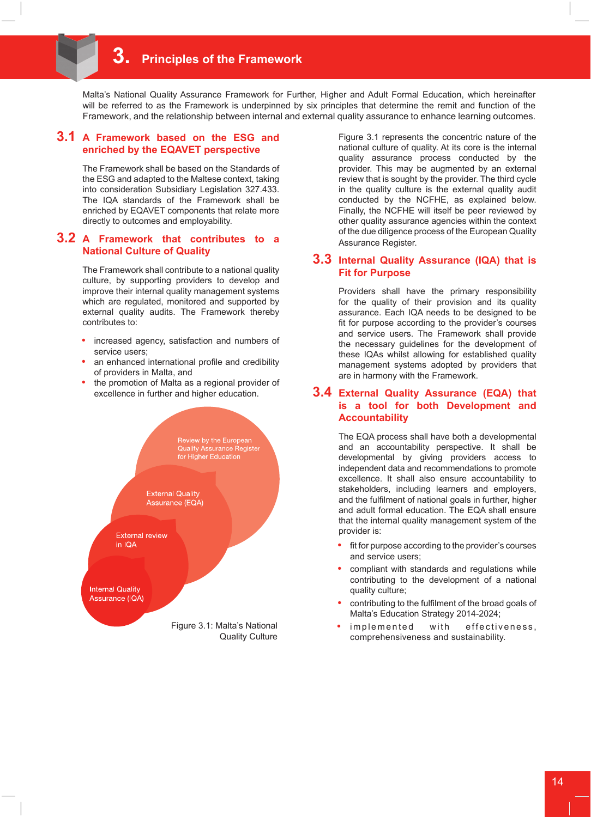# **3. Principles of the Framework**

Malta's National Quality Assurance Framework for Further, Higher and Adult Formal Education, which hereinafter will be referred to as the Framework is underpinned by six principles that determine the remit and function of the Framework, and the relationship between internal and external quality assurance to enhance learning outcomes.

#### **3.1 A Framework based on the ESG and enriched by the EQAVET perspective**

The Framework shall be based on the Standards of the ESG and adapted to the Maltese context, taking into consideration Subsidiary Legislation 327.433. The IQA standards of the Framework shall be enriched by EQAVET components that relate more directly to outcomes and employability.

#### **3.2 A Framework that contributes to a National Culture of Quality**

The Framework shall contribute to a national quality culture, by supporting providers to develop and improve their internal quality management systems which are regulated, monitored and supported by external quality audits. The Framework thereby contributes to:

- increased agency, satisfaction and numbers of service users;
- an enhanced international profile and credibility of providers in Malta, and
- the promotion of Malta as a regional provider of excellence in further and higher education.



Figure 3.1 represents the concentric nature of the national culture of quality. At its core is the internal quality assurance process conducted by the provider. This may be augmented by an external review that is sought by the provider. The third cycle in the quality culture is the external quality audit conducted by the NCFHE, as explained below. Finally, the NCFHE will itself be peer reviewed by other quality assurance agencies within the context of the due diligence process of the European Quality Assurance Register.

## **3.3 Internal Quality Assurance (IQA) that is Fit for Purpose**

Providers shall have the primary responsibility for the quality of their provision and its quality assurance. Each IQA needs to be designed to be fit for purpose according to the provider's courses and service users. The Framework shall provide the necessary guidelines for the development of these IQAs whilst allowing for established quality management systems adopted by providers that are in harmony with the Framework.

#### **3.4 External Quality Assurance (EQA) that is a tool for both Development and Accountability**

The EQA process shall have both a developmental and an accountability perspective. It shall be developmental by giving providers access to independent data and recommendations to promote excellence. It shall also ensure accountability to stakeholders, including learners and employers, and the fulfilment of national goals in further, higher and adult formal education. The EQA shall ensure that the internal quality management system of the provider is:

- fit for purpose according to the provider's courses and service users;
- compliant with standards and regulations while contributing to the development of a national quality culture;
- contributing to the fulfilment of the broad goals of Malta's Education Strategy 2014-2024;
- $implemented$  with effectiveness, comprehensiveness and sustainability.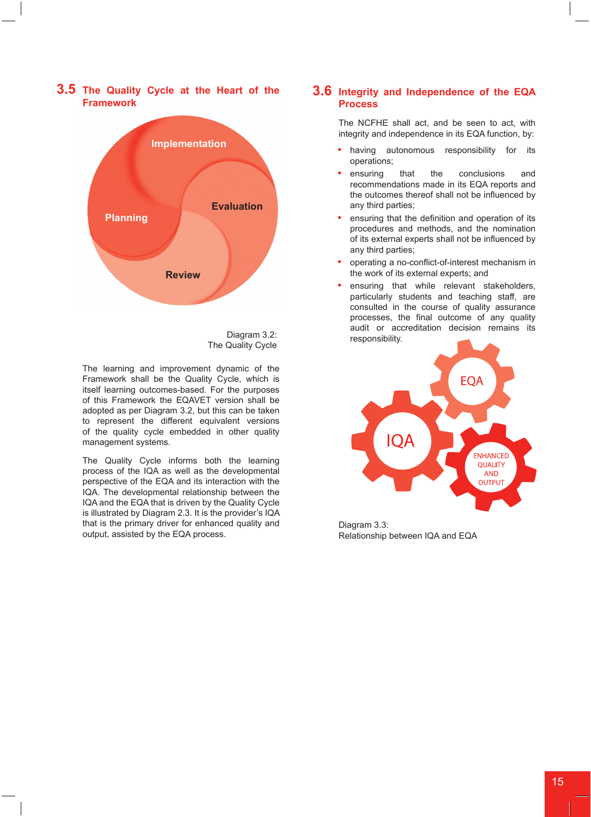

# **3.5 The Quality Cycle at the Heart of the Framework**

The Quality Cycle

The learning and improvement dynamic of the Framework shall be the Quality Cycle, which is itself learning outcomes-based. For the purposes of this Framework the EQAVET version shall be adopted as per Diagram 3.2, but this can be taken to represent the different equivalent versions of the quality cycle embedded in other quality management systems.

The Quality Cycle informs both the learning process of the IQA as well as the developmental perspective of the EQA and its interaction with the IQA. The developmental relationship between the IQA and the EQA that is driven by the Quality Cycle is illustrated by Diagram 2.3. It is the provider's IQA that is the primary driver for enhanced quality and output, assisted by the EQA process.

# **3.6 Integrity and Independence of the EQA Process**

The NCFHE shall act, and be seen to act, with integrity and independence in its EQA function, by:

- having autonomous responsibility for its operations;
- ensuring that the conclusions and recommendations made in its EQA reports and the outcomes thereof shall not be influenced by any third parties;
- ensuring that the definition and operation of its procedures and methods, and the nomination of its external experts shall not be influenced by any third parties;
- operating a no-conflict-of-interest mechanism in the work of its external experts; and
- ensuring that while relevant stakeholders, particularly students and teaching staff, are consulted in the course of quality assurance processes, the final outcome of any quality audit or accreditation decision remains its Diagram 3.2: esponsibility.



Diagram 3.3: Relationship between IQA and EQA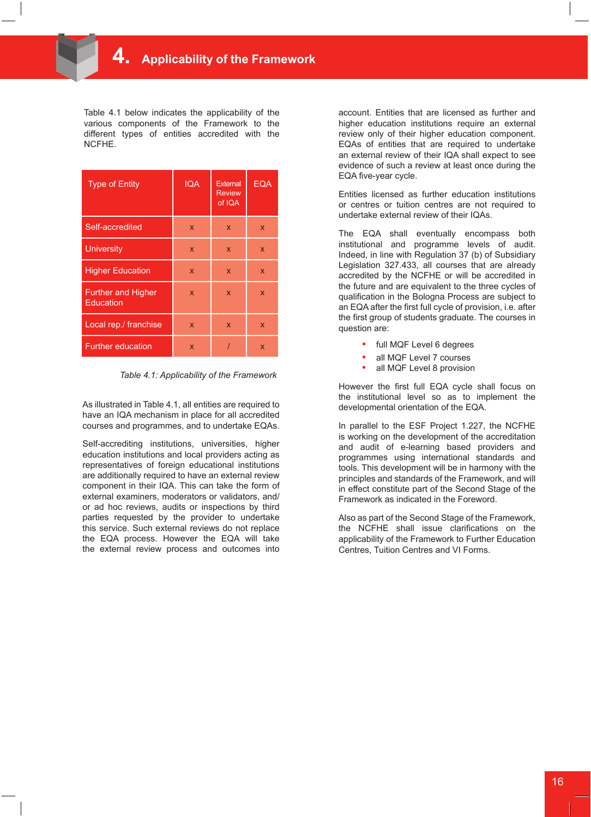Table 4.1 below indicates the applicability of the various components of the Framework to the different types of entities accredited with the NCFHE.

| <b>Type of Entity</b>                  | <b>IQA</b> | <b>External</b><br><b>Review</b><br>of IQA | <b>EQA</b> |
|----------------------------------------|------------|--------------------------------------------|------------|
| Self-accredited                        | X          | X                                          | X          |
| <b>University</b>                      | X          | $\mathsf{x}$                               | X          |
| <b>Higher Education</b>                | X          | X                                          | X          |
| <b>Further and Higher</b><br>Education | X          | X                                          | X          |
| Local rep./ franchise                  | X          | X                                          | X          |
| <b>Further education</b>               | X          |                                            | X          |

*Table 4.1: Applicability of the Framework*

As illustrated in Table 4.1, all entities are required to have an IQA mechanism in place for all accredited courses and programmes, and to undertake EQAs.

Self-accrediting institutions, universities, higher education institutions and local providers acting as representatives of foreign educational institutions are additionally required to have an external review component in their IQA. This can take the form of external examiners, moderators or validators, and/ or ad hoc reviews, audits or inspections by third parties requested by the provider to undertake this service. Such external reviews do not replace the EQA process. However the EQA will take the external review process and outcomes into

account. Entities that are licensed as further and higher education institutions require an external review only of their higher education component. EQAs of entities that are required to undertake an external review of their IQA shall expect to see evidence of such a review at least once during the EQA five-year cycle.

Entities licensed as further education institutions or centres or tuition centres are not required to undertake external review of their IQAs.

The EQA shall eventually encompass both institutional and programme levels of audit. Indeed, in line with Regulation 37 (b) of Subsidiary Legislation 327.433, all courses that are already accredited by the NCFHE or will be accredited in the future and are equivalent to the three cycles of qualification in the Bologna Process are subject to an EQA after the first full cycle of provision, i.e. after the first group of students graduate. The courses in question are:

- full MQF Level 6 degrees
- all MQF Level 7 courses
- all MQF Level 8 provision

However the first full EQA cycle shall focus on the institutional level so as to implement the developmental orientation of the EQA.

In parallel to the ESF Project 1.227, the NCFHE is working on the development of the accreditation and audit of e-learning based providers and programmes using international standards and tools. This development will be in harmony with the principles and standards of the Framework, and will in effect constitute part of the Second Stage of the Framework as indicated in the Foreword.

Also as part of the Second Stage of the Framework, the NCFHE shall issue clarifications on the applicability of the Framework to Further Education Centres, Tuition Centres and VI Forms.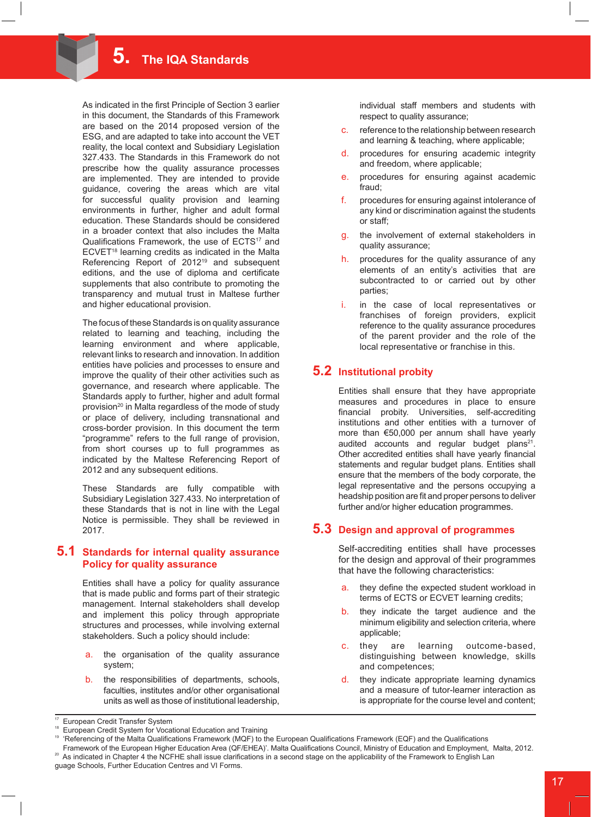As indicated in the first Principle of Section 3 earlier in this document, the Standards of this Framework are based on the 2014 proposed version of the ESG, and are adapted to take into account the VET reality, the local context and Subsidiary Legislation 327.433. The Standards in this Framework do not prescribe how the quality assurance processes are implemented. They are intended to provide guidance, covering the areas which are vital for successful quality provision and learning environments in further, higher and adult formal education. These Standards should be considered in a broader context that also includes the Malta Qualifications Framework, the use of ECTS<sup>17</sup> and ECVET<sup>18</sup> learning credits as indicated in the Malta Referencing Report of 2012<sup>19</sup> and subsequent editions, and the use of diploma and certificate supplements that also contribute to promoting the transparency and mutual trust in Maltese further and higher educational provision.

The focus of these Standards is on quality assurance related to learning and teaching, including the learning environment and where applicable, relevant links to research and innovation. In addition entities have policies and processes to ensure and improve the quality of their other activities such as governance, and research where applicable. The Standards apply to further, higher and adult formal provision<sup>20</sup> in Malta regardless of the mode of study or place of delivery, including transnational and cross-border provision. In this document the term "programme" refers to the full range of provision, from short courses up to full programmes as indicated by the Maltese Referencing Report of 2012 and any subsequent editions.

These Standards are fully compatible with Subsidiary Legislation 327.433. No interpretation of these Standards that is not in line with the Legal Notice is permissible. They shall be reviewed in 2017.

#### **5.1 Standards for internal quality assurance Policy for quality assurance**

Entities shall have a policy for quality assurance that is made public and forms part of their strategic management. Internal stakeholders shall develop and implement this policy through appropriate structures and processes, while involving external stakeholders. Such a policy should include:

- a. the organisation of the quality assurance system;
- b. the responsibilities of departments, schools, faculties, institutes and/or other organisational units as well as those of institutional leadership,
- c. reference to the relationship between research and learning & teaching, where applicable;
- d. procedures for ensuring academic integrity and freedom, where applicable;
- e. procedures for ensuring against academic fraud;
- f. procedures for ensuring against intolerance of any kind or discrimination against the students or staff;
- g. the involvement of external stakeholders in quality assurance;
- h. procedures for the quality assurance of any elements of an entity's activities that are subcontracted to or carried out by other parties;
- in the case of local representatives or franchises of foreign providers, explicit reference to the quality assurance procedures of the parent provider and the role of the local representative or franchise in this.

# **5.2 Institutional probity**

Entities shall ensure that they have appropriate measures and procedures in place to ensure financial probity. Universities, self-accrediting institutions and other entities with a turnover of more than €50,000 per annum shall have yearly audited accounts and regular budget plans $21$ . Other accredited entities shall have yearly financial statements and regular budget plans. Entities shall ensure that the members of the body corporate, the legal representative and the persons occupying a headship position are fit and proper persons to deliver further and/or higher education programmes.

# **5.3 Design and approval of programmes**

Self-accrediting entities shall have processes for the design and approval of their programmes that have the following characteristics:

- they define the expected student workload in terms of ECTS or ECVET learning credits;
- b. they indicate the target audience and the minimum eligibility and selection criteria, where applicable;
- c. they are learning outcome-based, distinguishing between knowledge, skills and competences;
- d. they indicate appropriate learning dynamics and a measure of tutor-learner interaction as is appropriate for the course level and content;

individual staff members and students with respect to quality assurance;

<sup>&</sup>lt;sup>17</sup> European Credit Transfer System

<sup>&</sup>lt;sup>18</sup> European Credit System for Vocational Education and Training

<sup>19 &#</sup>x27;Referencing of the Malta Qualifications Framework (MQF) to the European Qualifications Framework (EQF) and the Qualifications

Framework of the European Higher Education Area (QF/EHEA)'. Malta Qualifications Council, Ministry of Education and Employment, Malta, 2012. <sup>2</sup> As indicated in Chapter 4 the NCFHE shall issue clarifications in a second stage on the applicability of the Framework to English Lan

guage Schools, Further Education Centres and VI Forms.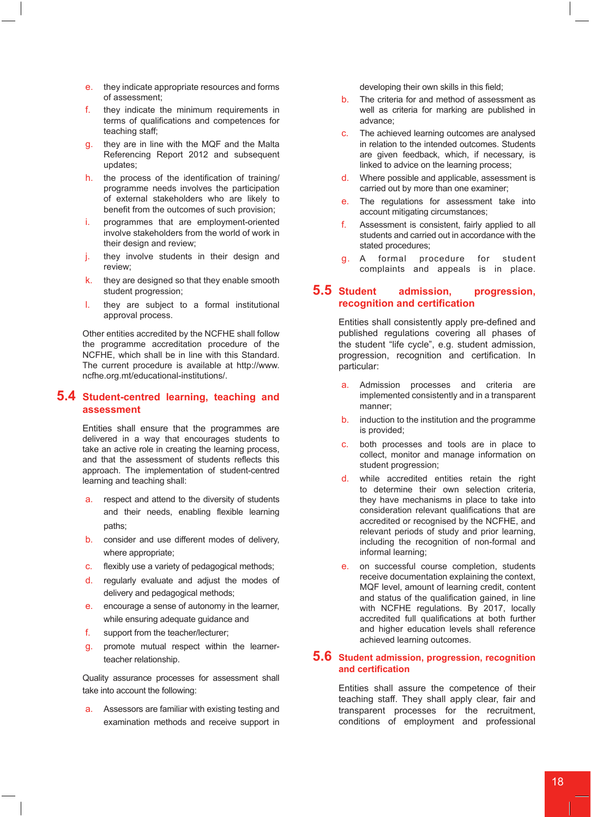- e. they indicate appropriate resources and forms of assessment;
- f. they indicate the minimum requirements in terms of qualifications and competences for teaching staff;
- g. they are in line with the MQF and the Malta Referencing Report 2012 and subsequent updates;
- h. the process of the identification of training/ programme needs involves the participation of external stakeholders who are likely to benefit from the outcomes of such provision;
- i. programmes that are employment-oriented involve stakeholders from the world of work in their design and review;
- j. they involve students in their design and review;
- k. they are designed so that they enable smooth student progression;
- l. they are subject to a formal institutional approval process.

Other entities accredited by the NCFHE shall follow the programme accreditation procedure of the NCFHE, which shall be in line with this Standard. The current procedure is available at http://www. ncfhe.org.mt/educational-institutions/.

### **5.4 Student-centred learning, teaching and assessment**

Entities shall ensure that the programmes are delivered in a way that encourages students to take an active role in creating the learning process, and that the assessment of students reflects this approach. The implementation of student-centred learning and teaching shall:

- a. respect and attend to the diversity of students and their needs, enabling flexible learning paths;
- b. consider and use different modes of delivery, where appropriate;
- c. flexibly use a variety of pedagogical methods;
- d. regularly evaluate and adjust the modes of delivery and pedagogical methods;
- e. encourage a sense of autonomy in the learner, while ensuring adequate guidance and
- f. support from the teacher/lecturer;
- g. promote mutual respect within the learnerteacher relationship.

Quality assurance processes for assessment shall take into account the following:

a. Assessors are familiar with existing testing and examination methods and receive support in

developing their own skills in this field;

- b. The criteria for and method of assessment as well as criteria for marking are published in advance;
- c. The achieved learning outcomes are analysed in relation to the intended outcomes. Students are given feedback, which, if necessary, is linked to advice on the learning process;
- d. Where possible and applicable, assessment is carried out by more than one examiner;
- e. The regulations for assessment take into account mitigating circumstances;
- f. Assessment is consistent, fairly applied to all students and carried out in accordance with the stated procedures;
- g. A formal procedure for student complaints and appeals is in place.

# **5.5 Student admission, progression, recognition and certification**

Entities shall consistently apply pre-defined and published regulations covering all phases of the student "life cycle", e.g. student admission, progression, recognition and certification. In particular:

- a. Admission processes and criteria are implemented consistently and in a transparent manner;
- b. induction to the institution and the programme is provided;
- c. both processes and tools are in place to collect, monitor and manage information on student progression;
- d. while accredited entities retain the right to determine their own selection criteria, they have mechanisms in place to take into consideration relevant qualifications that are accredited or recognised by the NCFHE, and relevant periods of study and prior learning, including the recognition of non-formal and informal learning;
- e. on successful course completion, students receive documentation explaining the context, MQF level, amount of learning credit, content and status of the qualification gained, in line with NCFHE regulations. By 2017, locally accredited full qualifications at both further and higher education levels shall reference achieved learning outcomes.

#### **5.6 Student admission, progression, recognition and certification**

Entities shall assure the competence of their teaching staff. They shall apply clear, fair and transparent processes for the recruitment, conditions of employment and professional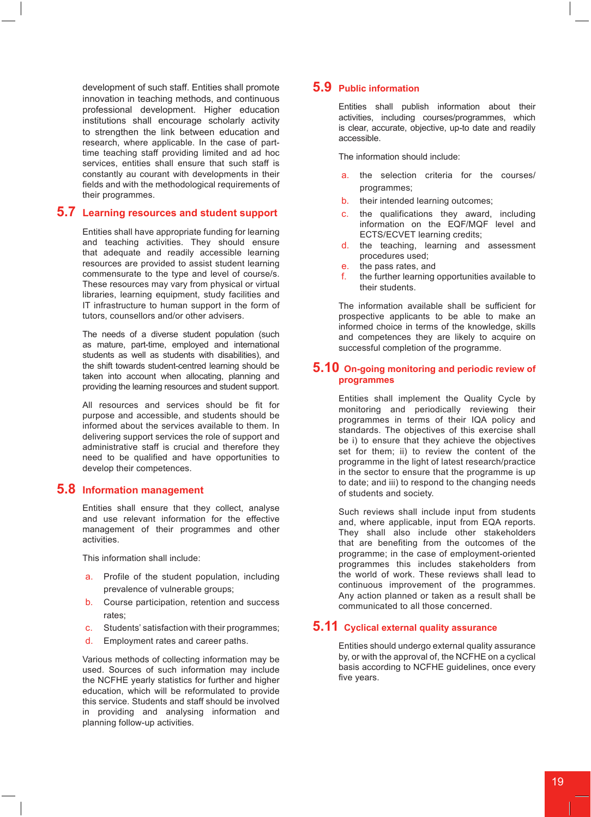development of such staff. Entities shall promote innovation in teaching methods, and continuous professional development. Higher education institutions shall encourage scholarly activity to strengthen the link between education and research, where applicable. In the case of parttime teaching staff providing limited and ad hoc services, entities shall ensure that such staff is constantly au courant with developments in their fields and with the methodological requirements of their programmes.

## **5.7 Learning resources and student support**

Entities shall have appropriate funding for learning and teaching activities. They should ensure that adequate and readily accessible learning resources are provided to assist student learning commensurate to the type and level of course/s. These resources may vary from physical or virtual libraries, learning equipment, study facilities and IT infrastructure to human support in the form of tutors, counsellors and/or other advisers.

The needs of a diverse student population (such as mature, part-time, employed and international students as well as students with disabilities), and the shift towards student-centred learning should be taken into account when allocating, planning and providing the learning resources and student support.

All resources and services should be fit for purpose and accessible, and students should be informed about the services available to them. In delivering support services the role of support and administrative staff is crucial and therefore they need to be qualified and have opportunities to develop their competences.

#### **5.8 Information management**

Entities shall ensure that they collect, analyse and use relevant information for the effective management of their programmes and other activities.

This information shall include:

- a. Profile of the student population, including prevalence of vulnerable groups;
- b. Course participation, retention and success rates;
- c. Students' satisfaction with their programmes;
- d. Employment rates and career paths.

Various methods of collecting information may be used. Sources of such information may include the NCFHE yearly statistics for further and higher education, which will be reformulated to provide this service. Students and staff should be involved in providing and analysing information and planning follow-up activities.

# **5.9 Public information**

Entities shall publish information about their activities, including courses/programmes, which is clear, accurate, objective, up-to date and readily accessible.

The information should include:

- a. the selection criteria for the courses/ programmes;
- b. their intended learning outcomes;
- c. the qualifications they award, including information on the EQF/MQF level and ECTS/ECVET learning credits;
- d. the teaching, learning and assessment procedures used;
- e. the pass rates, and
- f. the further learning opportunities available to their students.

The information available shall be sufficient for prospective applicants to be able to make an informed choice in terms of the knowledge, skills and competences they are likely to acquire on successful completion of the programme.

#### **5.10 On-going monitoring and periodic review of programmes**

Entities shall implement the Quality Cycle by monitoring and periodically reviewing their programmes in terms of their IQA policy and standards. The objectives of this exercise shall be i) to ensure that they achieve the objectives set for them; ii) to review the content of the programme in the light of latest research/practice in the sector to ensure that the programme is up to date; and iii) to respond to the changing needs of students and society.

Such reviews shall include input from students and, where applicable, input from EQA reports. They shall also include other stakeholders that are benefiting from the outcomes of the programme; in the case of employment-oriented programmes this includes stakeholders from the world of work. These reviews shall lead to continuous improvement of the programmes. Any action planned or taken as a result shall be communicated to all those concerned.

## **5.11 Cyclical external quality assurance**

Entities should undergo external quality assurance by, or with the approval of, the NCFHE on a cyclical basis according to NCFHE guidelines, once every five years.